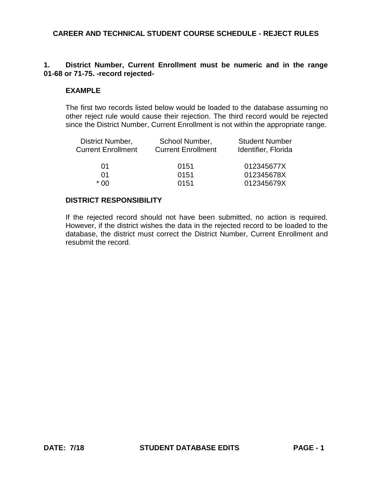## **1. District Number, Current Enrollment must be numeric and in the range 01-68 or 71-75. -record rejected-**

#### **EXAMPLE**

The first two records listed below would be loaded to the database assuming no other reject rule would cause their rejection. The third record would be rejected since the District Number, Current Enrollment is not within the appropriate range.

| District Number,          | School Number,            | <b>Student Number</b> |
|---------------------------|---------------------------|-----------------------|
| <b>Current Enrollment</b> | <b>Current Enrollment</b> | Identifier, Florida   |
| 01                        | 0151                      | 012345677X            |
| 01                        | 0151                      | 012345678X            |
| * በበ                      | 0151                      | 012345679X            |

### **DISTRICT RESPONSIBILITY**

If the rejected record should not have been submitted, no action is required. However, if the district wishes the data in the rejected record to be loaded to the database, the district must correct the District Number, Current Enrollment and resubmit the record.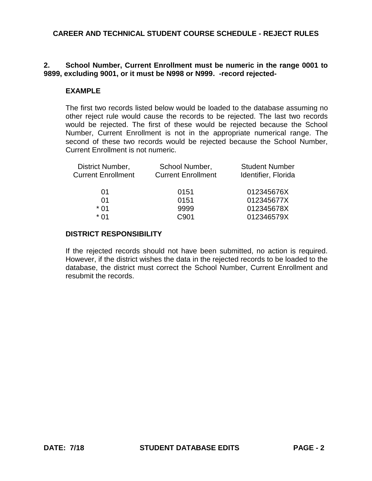# **2. School Number, Current Enrollment must be numeric in the range 0001 to 9899, excluding 9001, or it must be N998 or N999. -record rejected-**

### **EXAMPLE**

The first two records listed below would be loaded to the database assuming no other reject rule would cause the records to be rejected. The last two records would be rejected. The first of these would be rejected because the School Number, Current Enrollment is not in the appropriate numerical range. The second of these two records would be rejected because the School Number, Current Enrollment is not numeric.

| District Number,          | School Number,            | <b>Student Number</b> |
|---------------------------|---------------------------|-----------------------|
| <b>Current Enrollment</b> | <b>Current Enrollment</b> | Identifier, Florida   |
|                           |                           |                       |
| 01                        | 0151                      | 012345676X            |
| 01                        | 0151                      | 012345677X            |
| $*$ 01                    | 9999                      | 012345678X            |
| * በ1                      | C901                      | 012346579X            |

### **DISTRICT RESPONSIBILITY**

If the rejected records should not have been submitted, no action is required. However, if the district wishes the data in the rejected records to be loaded to the database, the district must correct the School Number, Current Enrollment and resubmit the records.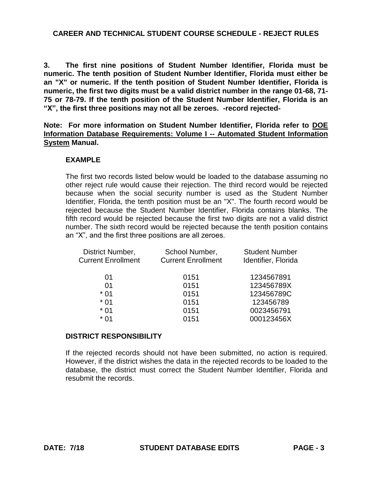**3. The first nine positions of Student Number Identifier, Florida must be numeric. The tenth position of Student Number Identifier, Florida must either be an "X" or numeric. If the tenth position of Student Number Identifier, Florida is numeric, the first two digits must be a valid district number in the range 01-68, 71- 75 or 78-79. If the tenth position of the Student Number Identifier, Florida is an "X", the first three positions may not all be zeroes. -record rejected-**

**Note: For more information on Student Number Identifier, Florida refer to DOE Information Database Requirements: Volume I -- Automated Student Information System Manual.**

### **EXAMPLE**

The first two records listed below would be loaded to the database assuming no other reject rule would cause their rejection. The third record would be rejected because when the social security number is used as the Student Number Identifier, Florida, the tenth position must be an "X". The fourth record would be rejected because the Student Number Identifier, Florida contains blanks. The fifth record would be rejected because the first two digits are not a valid district number. The sixth record would be rejected because the tenth position contains an "X", and the first three positions are all zeroes.

| District Number,          | School Number,            | <b>Student Number</b> |
|---------------------------|---------------------------|-----------------------|
| <b>Current Enrollment</b> | <b>Current Enrollment</b> | Identifier, Florida   |
| 01                        | 0151                      | 1234567891            |
| 01                        | 0151                      | 123456789X            |
| $*01$                     | 0151                      | 123456789C            |
| $*01$                     | 0151                      | 123456789             |
| $*01$                     | 0151                      | 0023456791            |
| $*01$                     | 0151                      | 000123456X            |
|                           |                           |                       |

#### **DISTRICT RESPONSIBILITY**

If the rejected records should not have been submitted, no action is required. However, if the district wishes the data in the rejected records to be loaded to the database, the district must correct the Student Number Identifier, Florida and resubmit the records.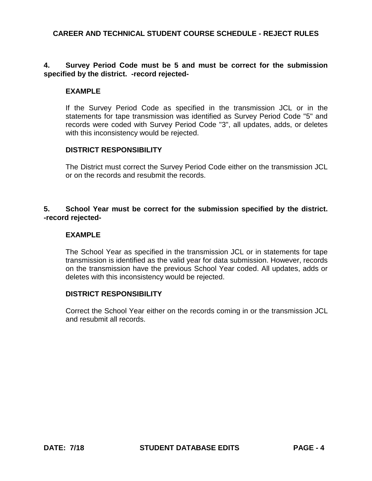## **4. Survey Period Code must be 5 and must be correct for the submission specified by the district. -record rejected-**

#### **EXAMPLE**

If the Survey Period Code as specified in the transmission JCL or in the statements for tape transmission was identified as Survey Period Code "5" and records were coded with Survey Period Code "3", all updates, adds, or deletes with this inconsistency would be rejected.

### **DISTRICT RESPONSIBILITY**

The District must correct the Survey Period Code either on the transmission JCL or on the records and resubmit the records.

# **5. School Year must be correct for the submission specified by the district. -record rejected-**

## **EXAMPLE**

The School Year as specified in the transmission JCL or in statements for tape transmission is identified as the valid year for data submission. However, records on the transmission have the previous School Year coded. All updates, adds or deletes with this inconsistency would be rejected.

#### **DISTRICT RESPONSIBILITY**

Correct the School Year either on the records coming in or the transmission JCL and resubmit all records.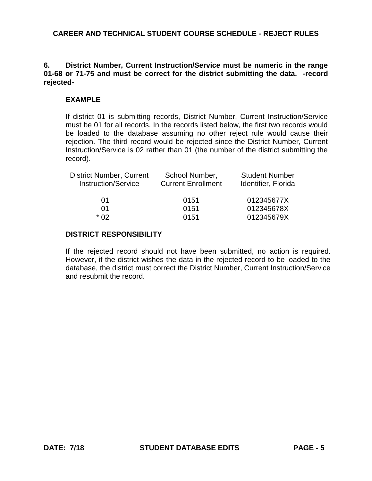# **6. District Number, Current Instruction/Service must be numeric in the range 01-68 or 71-75 and must be correct for the district submitting the data. -record rejected-**

# **EXAMPLE**

If district 01 is submitting records, District Number, Current Instruction/Service must be 01 for all records. In the records listed below, the first two records would be loaded to the database assuming no other reject rule would cause their rejection. The third record would be rejected since the District Number, Current Instruction/Service is 02 rather than 01 (the number of the district submitting the record).

| <b>District Number, Current</b><br><b>Instruction/Service</b> | School Number,<br><b>Current Enrollment</b> | <b>Student Number</b><br>Identifier, Florida |
|---------------------------------------------------------------|---------------------------------------------|----------------------------------------------|
| 01                                                            | 0151                                        | 012345677X                                   |
| 01                                                            | 0151                                        | 012345678X                                   |
| * በ2                                                          | 0151                                        | 012345679X                                   |

## **DISTRICT RESPONSIBILITY**

If the rejected record should not have been submitted, no action is required. However, if the district wishes the data in the rejected record to be loaded to the database, the district must correct the District Number, Current Instruction/Service and resubmit the record.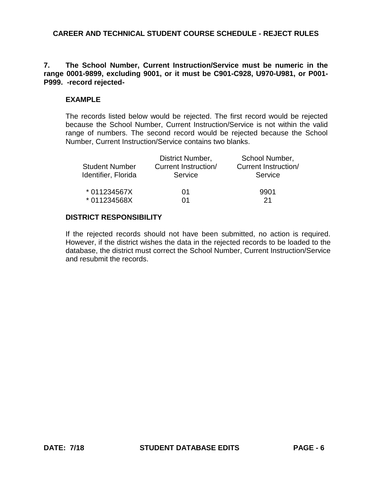### **7. The School Number, Current Instruction/Service must be numeric in the range 0001-9899, excluding 9001, or it must be C901-C928, U970-U981, or P001- P999. -record rejected-**

### **EXAMPLE**

The records listed below would be rejected. The first record would be rejected because the School Number, Current Instruction/Service is not within the valid range of numbers. The second record would be rejected because the School Number, Current Instruction/Service contains two blanks.

|                       | District Number,     | School Number,              |
|-----------------------|----------------------|-----------------------------|
| <b>Student Number</b> | Current Instruction/ | <b>Current Instruction/</b> |
| Identifier, Florida   | Service              | Service                     |
| * 011234567X          | 01                   | 9901                        |
| * 011234568X          | $^{(11)}$            | -21                         |

#### **DISTRICT RESPONSIBILITY**

If the rejected records should not have been submitted, no action is required. However, if the district wishes the data in the rejected records to be loaded to the database, the district must correct the School Number, Current Instruction/Service and resubmit the records.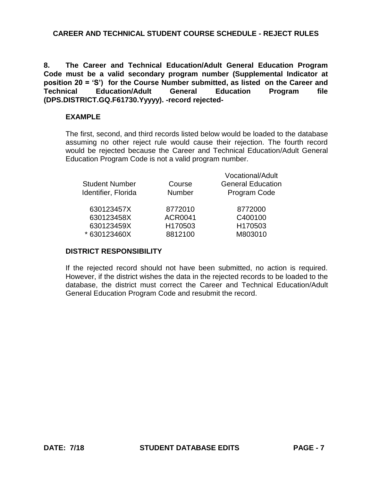**8. The Career and Technical Education/Adult General Education Program Code must be a valid secondary program number (Supplemental Indicator at position 20 = 'S') for the Course Number submitted, as listed on the Career and Technical Education/Adult General Education Program file (DPS.DISTRICT.GQ.F61730.Yyyyy). -record rejected-**

### **EXAMPLE**

The first, second, and third records listed below would be loaded to the database assuming no other reject rule would cause their rejection. The fourth record would be rejected because the Career and Technical Education/Adult General Education Program Code is not a valid program number.

Vocational/Adult

| <b>Student Number</b><br>Identifier, Florida | Course<br><b>Number</b> | Vocational/Adult<br><b>General Education</b><br>Program Code |
|----------------------------------------------|-------------------------|--------------------------------------------------------------|
| 630123457X                                   | 8772010                 | 8772000                                                      |
| 630123458X                                   | <b>ACR0041</b>          | C400100                                                      |
| 630123459X                                   | H170503                 | H170503                                                      |
| * 630123460X                                 | 8812100                 | M803010                                                      |
|                                              |                         |                                                              |

#### **DISTRICT RESPONSIBILITY**

If the rejected record should not have been submitted, no action is required. However, if the district wishes the data in the rejected records to be loaded to the database, the district must correct the Career and Technical Education/Adult General Education Program Code and resubmit the record.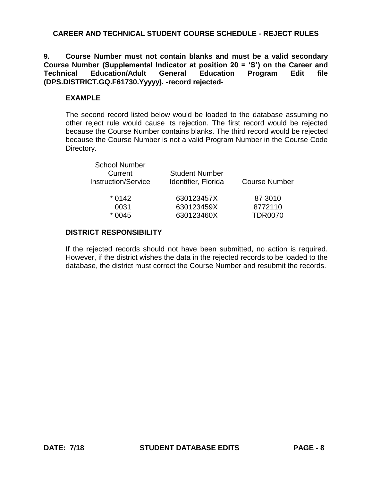**9. Course Number must not contain blanks and must be a valid secondary Course Number (Supplemental Indicator at position 20 = 'S') on the Career and Technical Education/Adult General Education Program Edit file (DPS.DISTRICT.GQ.F61730.Yyyyy). -record rejected-**

# **EXAMPLE**

The second record listed below would be loaded to the database assuming no other reject rule would cause its rejection. The first record would be rejected because the Course Number contains blanks. The third record would be rejected because the Course Number is not a valid Program Number in the Course Code Directory.

| <b>School Number</b>       |                       |                      |
|----------------------------|-----------------------|----------------------|
| Current                    | <b>Student Number</b> |                      |
| <b>Instruction/Service</b> | Identifier, Florida   | <b>Course Number</b> |
| $*0142$                    | 630123457X            | 87 3010              |
| 0031                       | 630123459X            | 8772110              |
| $*0045$                    | 630123460X            | <b>TDR0070</b>       |
|                            |                       |                      |

# **DISTRICT RESPONSIBILITY**

If the rejected records should not have been submitted, no action is required. However, if the district wishes the data in the rejected records to be loaded to the database, the district must correct the Course Number and resubmit the records.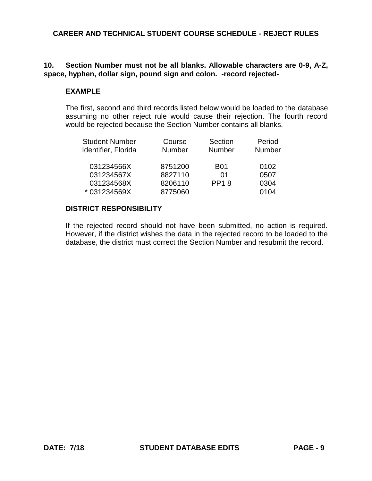# **10. Section Number must not be all blanks. Allowable characters are 0-9, A-Z, space, hyphen, dollar sign, pound sign and colon. -record rejected-**

# **EXAMPLE**

The first, second and third records listed below would be loaded to the database assuming no other reject rule would cause their rejection. The fourth record would be rejected because the Section Number contains all blanks.

| <b>Student Number</b> | Course        | Section       | Period |
|-----------------------|---------------|---------------|--------|
| Identifier, Florida   | <b>Number</b> | <b>Number</b> | Number |
| 031234566X            | 8751200       | <b>B01</b>    | 0102   |
| 031234567X            | 8827110       | 01            | 0507   |
| 031234568X            | 8206110       | <b>PP18</b>   | 0304   |
| *031234569X           | 8775060       |               | 0104   |

# **DISTRICT RESPONSIBILITY**

If the rejected record should not have been submitted, no action is required. However, if the district wishes the data in the rejected record to be loaded to the database, the district must correct the Section Number and resubmit the record.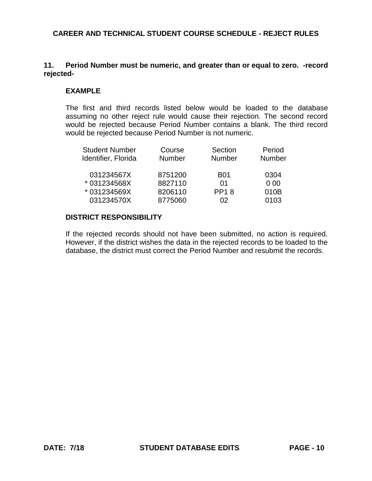## **11. Period Number must be numeric, and greater than or equal to zero. -record rejected-**

#### **EXAMPLE**

The first and third records listed below would be loaded to the database assuming no other reject rule would cause their rejection. The second record would be rejected because Period Number contains a blank. The third record would be rejected because Period Number is not numeric.

| <b>Student Number</b> | Course        | Section       | Period        |
|-----------------------|---------------|---------------|---------------|
| Identifier, Florida   | <b>Number</b> | <b>Number</b> | <b>Number</b> |
|                       |               |               |               |
| 031234567X            | 8751200       | <b>B01</b>    | 0304          |
| *031234568X           | 8827110       | 01            | 000           |
| * 031234569X          | 8206110       | <b>PP18</b>   | 010B          |
| 031234570X            | 8775060       | 02            | 0103          |

#### **DISTRICT RESPONSIBILITY**

If the rejected records should not have been submitted, no action is required. However, if the district wishes the data in the rejected records to be loaded to the database, the district must correct the Period Number and resubmit the records.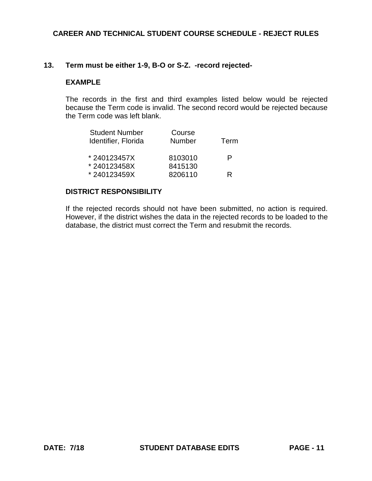### **13. Term must be either 1-9, B-O or S-Z. -record rejected-**

#### **EXAMPLE**

The records in the first and third examples listed below would be rejected because the Term code is invalid. The second record would be rejected because the Term code was left blank.

| <b>Student Number</b><br>Identifier, Florida | Course<br><b>Number</b> | Term |
|----------------------------------------------|-------------------------|------|
| *240123457X                                  | 8103010                 | P    |
| *240123458X                                  | 8415130                 |      |
| *240123459X                                  | 8206110                 | R    |

#### **DISTRICT RESPONSIBILITY**

If the rejected records should not have been submitted, no action is required. However, if the district wishes the data in the rejected records to be loaded to the database, the district must correct the Term and resubmit the records.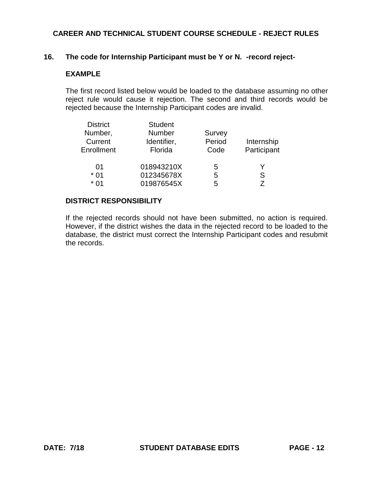### **16. The code for Internship Participant must be Y or N. -record reject-**

### **EXAMPLE**

The first record listed below would be loaded to the database assuming no other reject rule would cause it rejection. The second and third records would be rejected because the Internship Participant codes are invalid.

| <b>District</b> | <b>Student</b> |        |             |
|-----------------|----------------|--------|-------------|
| Number,         | <b>Number</b>  | Survey |             |
| Current         | Identifier,    | Period | Internship  |
| Enrollment      | Florida        | Code   | Participant |
| 01              | 018943210X     | 5      | Y           |
| $*01$           | 012345678X     | 5      | S           |
| $*01$           | 019876545X     | 5      | 7           |

### **DISTRICT RESPONSIBILITY**

If the rejected records should not have been submitted, no action is required. However, if the district wishes the data in the rejected record to be loaded to the database, the district must correct the Internship Participant codes and resubmit the records.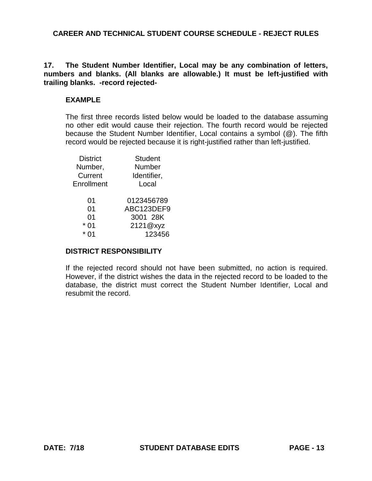# **17. The Student Number Identifier, Local may be any combination of letters, numbers and blanks. (All blanks are allowable.) It must be left-justified with trailing blanks. -record rejected-**

# **EXAMPLE**

The first three records listed below would be loaded to the database assuming no other edit would cause their rejection. The fourth record would be rejected because the Student Number Identifier, Local contains a symbol (@). The fifth record would be rejected because it is right-justified rather than left-justified.

| <b>District</b> | <b>Student</b> |
|-----------------|----------------|
| Number,         | Number         |
| Current         | Identifier,    |
| Enrollment      | Local          |
| 01              | 0123456789     |
| 01              | ABC123DEF9     |
| 01              | 3001 28K       |
| 01              | 2121@xyz       |
|                 | 123456         |

## **DISTRICT RESPONSIBILITY**

If the rejected record should not have been submitted, no action is required. However, if the district wishes the data in the rejected record to be loaded to the database, the district must correct the Student Number Identifier, Local and resubmit the record.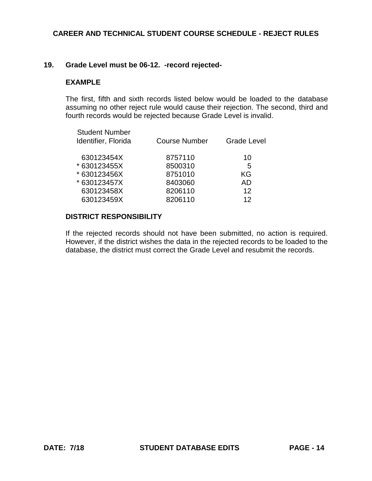### **19. Grade Level must be 06-12. -record rejected-**

#### **EXAMPLE**

The first, fifth and sixth records listed below would be loaded to the database assuming no other reject rule would cause their rejection. The second, third and fourth records would be rejected because Grade Level is invalid.

| <b>Student Number</b><br>Identifier, Florida | <b>Course Number</b> | <b>Grade Level</b> |
|----------------------------------------------|----------------------|--------------------|
| 630123454X                                   | 8757110              | 10                 |
| * 630123455X                                 | 8500310              | 5                  |
| * 630123456X                                 | 8751010              | KG                 |
| * 630123457X                                 | 8403060              | AD                 |
| 630123458X                                   | 8206110              | 12                 |
| 630123459X                                   | 8206110              | 12                 |
|                                              |                      |                    |

#### **DISTRICT RESPONSIBILITY**

If the rejected records should not have been submitted, no action is required. However, if the district wishes the data in the rejected records to be loaded to the database, the district must correct the Grade Level and resubmit the records.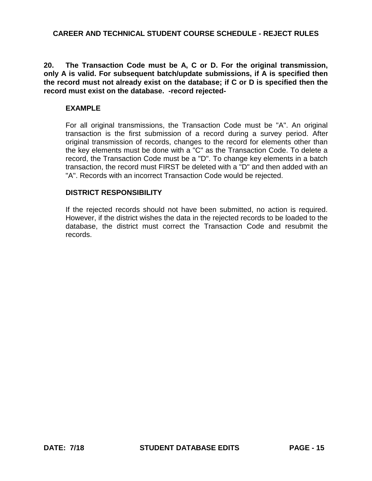**20. The Transaction Code must be A, C or D. For the original transmission, only A is valid. For subsequent batch/update submissions, if A is specified then the record must not already exist on the database; if C or D is specified then the record must exist on the database. -record rejected-**

### **EXAMPLE**

For all original transmissions, the Transaction Code must be "A". An original transaction is the first submission of a record during a survey period. After original transmission of records, changes to the record for elements other than the key elements must be done with a "C" as the Transaction Code. To delete a record, the Transaction Code must be a "D". To change key elements in a batch transaction, the record must FIRST be deleted with a "D" and then added with an "A". Records with an incorrect Transaction Code would be rejected.

#### **DISTRICT RESPONSIBILITY**

If the rejected records should not have been submitted, no action is required. However, if the district wishes the data in the rejected records to be loaded to the database, the district must correct the Transaction Code and resubmit the records.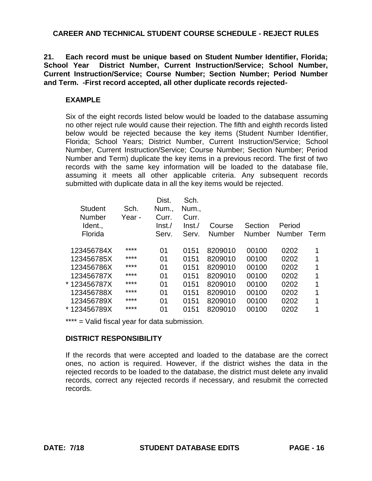**21. Each record must be unique based on Student Number Identifier, Florida; School Year District Number, Current Instruction/Service; School Number, Current Instruction/Service; Course Number; Section Number; Period Number and Term. -First record accepted, all other duplicate records rejected-**

# **EXAMPLE**

Six of the eight records listed below would be loaded to the database assuming no other reject rule would cause their rejection. The fifth and eighth records listed below would be rejected because the key items (Student Number Identifier, Florida; School Years; District Number, Current Instruction/Service; School Number, Current Instruction/Service; Course Number; Section Number; Period Number and Term) duplicate the key items in a previous record. The first of two records with the same key information will be loaded to the database file, assuming it meets all other applicable criteria. Any subsequent records submitted with duplicate data in all the key items would be rejected.

| <b>Student</b><br><b>Number</b><br>Ident.,<br>Florida | Sch.<br>Year - | Dist.<br>Num.,<br>Curr.<br>lnst./<br>Serv. | Sch.<br>Num.,<br>Curr.<br>$\ln$ st./<br>Serv. | Course<br><b>Number</b> | Section<br>Number | Period<br>Number | Term |
|-------------------------------------------------------|----------------|--------------------------------------------|-----------------------------------------------|-------------------------|-------------------|------------------|------|
|                                                       |                |                                            |                                               |                         |                   |                  |      |
| 123456784X                                            | ****           | 01                                         | 0151                                          | 8209010                 | 00100             | 0202             | 1    |
| 123456785X                                            | ****           | 01                                         | 0151                                          | 8209010                 | 00100             | 0202             | 1    |
| 123456786X                                            | ****           | 01                                         | 0151                                          | 8209010                 | 00100             | 0202             | 1    |
| 123456787X                                            | ****           | 01                                         | 0151                                          | 8209010                 | 00100             | 0202             | 1    |
| * 123456787X                                          | ****           | 01                                         | 0151                                          | 8209010                 | 00100             | 0202             | 1    |
| 123456788X                                            | ****           | 01                                         | 0151                                          | 8209010                 | 00100             | 0202             | 1    |
| 123456789X                                            | ****           | 01                                         | 0151                                          | 8209010                 | 00100             | 0202             | 1    |
| * 123456789X                                          | ****           | 01                                         | 0151                                          | 8209010                 | 00100             | 0202             | 1    |
|                                                       |                |                                            |                                               |                         |                   |                  |      |

\*\*\*\* = Valid fiscal year for data submission.

## **DISTRICT RESPONSIBILITY**

If the records that were accepted and loaded to the database are the correct ones, no action is required. However, if the district wishes the data in the rejected records to be loaded to the database, the district must delete any invalid records, correct any rejected records if necessary, and resubmit the corrected records.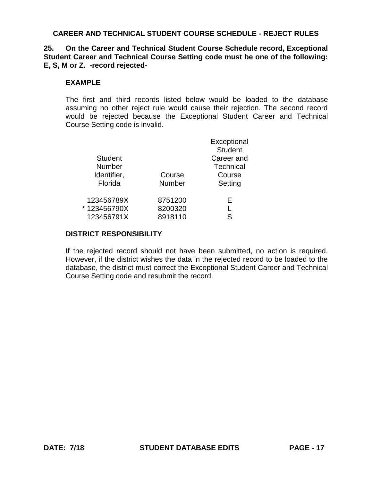**25. On the Career and Technical Student Course Schedule record, Exceptional Student Career and Technical Course Setting code must be one of the following: E, S, M or Z. -record rejected-** 

### **EXAMPLE**

The first and third records listed below would be loaded to the database assuming no other reject rule would cause their rejection. The second record would be rejected because the Exceptional Student Career and Technical Course Setting code is invalid.

|                |         | Exceptional<br><b>Student</b> |
|----------------|---------|-------------------------------|
| <b>Student</b> |         | Career and                    |
| <b>Number</b>  |         | <b>Technical</b>              |
| Identifier,    | Course  | Course                        |
| Florida        | Number  | Setting                       |
| 123456789X     | 8751200 | Е                             |
| *123456790X    | 8200320 |                               |
| 123456791X     | 8918110 | S                             |

### **DISTRICT RESPONSIBILITY**

If the rejected record should not have been submitted, no action is required. However, if the district wishes the data in the rejected record to be loaded to the database, the district must correct the Exceptional Student Career and Technical Course Setting code and resubmit the record.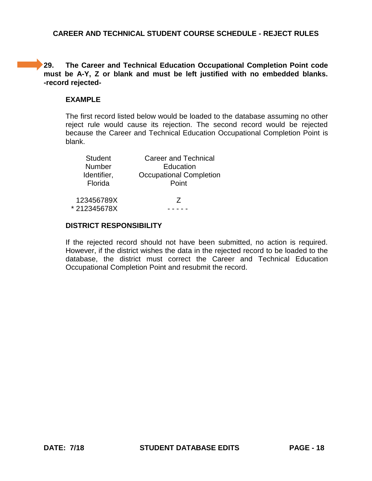**29. The Career and Technical Education Occupational Completion Point code must be A-Y, Z or blank and must be left justified with no embedded blanks. -record rejected-**

# **EXAMPLE**

The first record listed below would be loaded to the database assuming no other reject rule would cause its rejection. The second record would be rejected because the Career and Technical Education Occupational Completion Point is blank.

| <b>Student</b>         | <b>Career and Technical</b>             |
|------------------------|-----------------------------------------|
| Number                 | Education                               |
| Identifier,<br>Florida | <b>Occupational Completion</b><br>Point |
| 123456789X             | 7                                       |
| *212345678X            |                                         |

## **DISTRICT RESPONSIBILITY**

If the rejected record should not have been submitted, no action is required. However, if the district wishes the data in the rejected record to be loaded to the database, the district must correct the Career and Technical Education Occupational Completion Point and resubmit the record.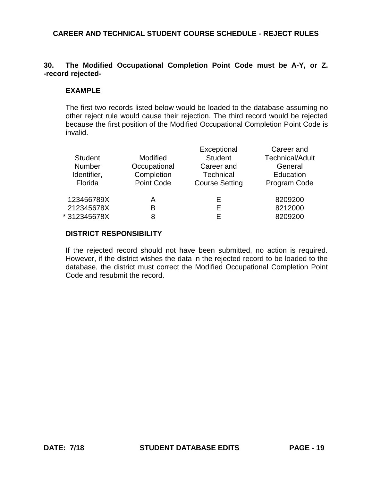# **30. The Modified Occupational Completion Point Code must be A-Y, or Z. -record rejected-**

### **EXAMPLE**

The first two records listed below would be loaded to the database assuming no other reject rule would cause their rejection. The third record would be rejected because the first position of the Modified Occupational Completion Point Code is invalid.

| <b>Student</b><br><b>Number</b><br>Identifier,<br>Florida | Modified<br>Occupational<br>Completion<br><b>Point Code</b> | Exceptional<br><b>Student</b><br>Career and<br><b>Technical</b><br><b>Course Setting</b> | Career and<br><b>Technical/Adult</b><br>General<br>Education<br>Program Code |
|-----------------------------------------------------------|-------------------------------------------------------------|------------------------------------------------------------------------------------------|------------------------------------------------------------------------------|
| 123456789X                                                | Α                                                           | E                                                                                        | 8209200                                                                      |
| 212345678X                                                | B                                                           | E                                                                                        | 8212000                                                                      |
| *312345678X                                               | 8                                                           | F                                                                                        | 8209200                                                                      |

### **DISTRICT RESPONSIBILITY**

If the rejected record should not have been submitted, no action is required. However, if the district wishes the data in the rejected record to be loaded to the database, the district must correct the Modified Occupational Completion Point Code and resubmit the record.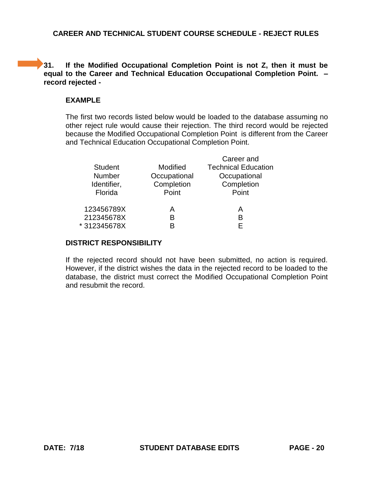# **31. If the Modified Occupational Completion Point is not Z, then it must be equal to the Career and Technical Education Occupational Completion Point. – record rejected -**

# **EXAMPLE**

The first two records listed below would be loaded to the database assuming no other reject rule would cause their rejection. The third record would be rejected because the Modified Occupational Completion Point is different from the Career and Technical Education Occupational Completion Point.

|                |              | Career and                 |
|----------------|--------------|----------------------------|
| <b>Student</b> | Modified     | <b>Technical Education</b> |
| <b>Number</b>  | Occupational | Occupational               |
| Identifier,    | Completion   | Completion                 |
| Florida        | Point        | Point                      |
|                |              |                            |
| 123456789X     | A            | А                          |
| 212345678X     | B            | B                          |
| *312345678X    |              | F                          |
|                |              |                            |

# **DISTRICT RESPONSIBILITY**

If the rejected record should not have been submitted, no action is required. However, if the district wishes the data in the rejected record to be loaded to the database, the district must correct the Modified Occupational Completion Point and resubmit the record.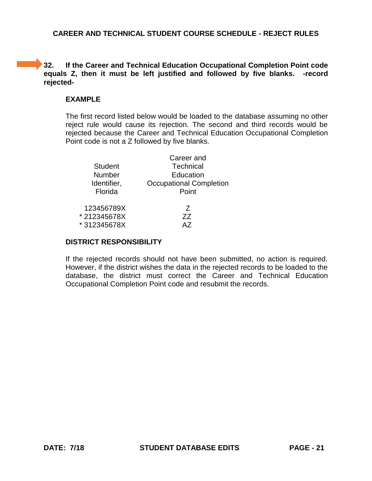**32. If the Career and Technical Education Occupational Completion Point code equals Z, then it must be left justified and followed by five blanks. -record rejected-**

# **EXAMPLE**

The first record listed below would be loaded to the database assuming no other reject rule would cause its rejection. The second and third records would be rejected because the Career and Technical Education Occupational Completion Point code is not a Z followed by five blanks.

|                | Career and                     |
|----------------|--------------------------------|
| <b>Student</b> | <b>Technical</b>               |
| Number         | Education                      |
| Identifier,    | <b>Occupational Completion</b> |
| Florida        | Point                          |
|                |                                |
| 123456789X     | 7                              |
| *212345678X    | ZZ                             |
| *312345678X    | Δ7                             |
|                |                                |

# **DISTRICT RESPONSIBILITY**

If the rejected records should not have been submitted, no action is required. However, if the district wishes the data in the rejected records to be loaded to the database, the district must correct the Career and Technical Education Occupational Completion Point code and resubmit the records.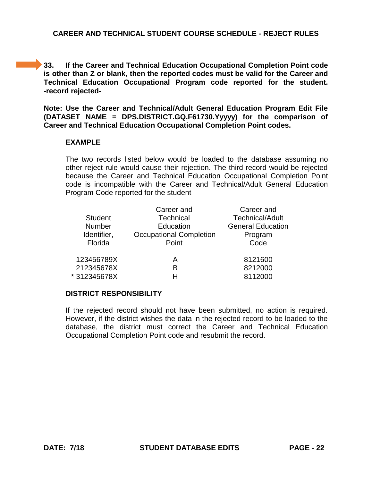**33. If the Career and Technical Education Occupational Completion Point code is other than Z or blank, then the reported codes must be valid for the Career and Technical Education Occupational Program code reported for the student. -record rejected-**

**Note: Use the Career and Technical/Adult General Education Program Edit File (DATASET NAME = DPS.DISTRICT.GQ.F61730.Yyyyy) for the comparison of Career and Technical Education Occupational Completion Point codes.**

#### **EXAMPLE**

The two records listed below would be loaded to the database assuming no other reject rule would cause their rejection. The third record would be rejected because the Career and Technical Education Occupational Completion Point code is incompatible with the Career and Technical/Adult General Education Program Code reported for the student

|                | Career and                     | Career and               |
|----------------|--------------------------------|--------------------------|
| <b>Student</b> | Technical                      | <b>Technical/Adult</b>   |
| <b>Number</b>  | Education                      | <b>General Education</b> |
| Identifier,    | <b>Occupational Completion</b> | Program                  |
| Florida        | Point                          | Code                     |
| 123456789X     | A                              | 8121600                  |
| 212345678X     | в                              | 8212000                  |
| *312345678X    |                                | 8112000                  |
|                |                                |                          |

#### **DISTRICT RESPONSIBILITY**

If the rejected record should not have been submitted, no action is required. However, if the district wishes the data in the rejected record to be loaded to the database, the district must correct the Career and Technical Education Occupational Completion Point code and resubmit the record.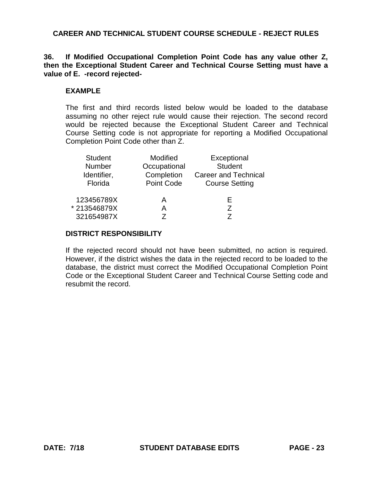## **36. If Modified Occupational Completion Point Code has any value other Z, then the Exceptional Student Career and Technical Course Setting must have a value of E. -record rejected-**

#### **EXAMPLE**

The first and third records listed below would be loaded to the database assuming no other reject rule would cause their rejection. The second record would be rejected because the Exceptional Student Career and Technical Course Setting code is not appropriate for reporting a Modified Occupational Completion Point Code other than Z.

| <b>Student</b> | Modified          | Exceptional           |
|----------------|-------------------|-----------------------|
| Number         | Occupational      | <b>Student</b>        |
| Identifier,    | Completion        | Career and Technical  |
| Florida        | <b>Point Code</b> | <b>Course Setting</b> |
|                |                   |                       |
| 123456789X     | А                 | E                     |
| *213546879X    | А                 | 7                     |
| 321654987X     |                   |                       |

### **DISTRICT RESPONSIBILITY**

If the rejected record should not have been submitted, no action is required. However, if the district wishes the data in the rejected record to be loaded to the database, the district must correct the Modified Occupational Completion Point Code or the Exceptional Student Career and Technical Course Setting code and resubmit the record.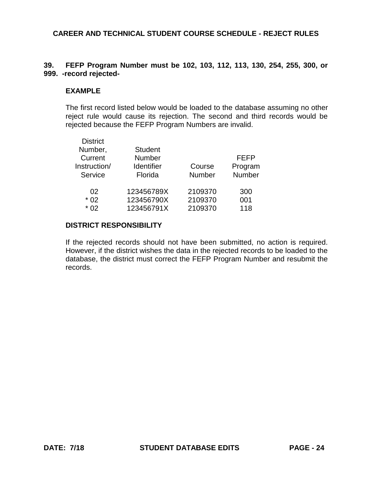# **39. FEFP Program Number must be 102, 103, 112, 113, 130, 254, 255, 300, or 999. -record rejected-**

# **EXAMPLE**

The first record listed below would be loaded to the database assuming no other reject rule would cause its rejection. The second and third records would be rejected because the FEFP Program Numbers are invalid.

| <b>District</b> |                |               |             |
|-----------------|----------------|---------------|-------------|
| Number,         | <b>Student</b> |               |             |
| Current         | Number         |               | <b>FEFP</b> |
| Instruction/    | Identifier     | Course        | Program     |
| Service         | Florida        | <b>Number</b> | Number      |
| 02              | 123456789X     | 2109370       | 300         |
| $*02$           | 123456790X     | 2109370       | 001         |
| * በ2            | 123456791X     | 2109370       | 118         |
|                 |                |               |             |

## **DISTRICT RESPONSIBILITY**

If the rejected records should not have been submitted, no action is required. However, if the district wishes the data in the rejected records to be loaded to the database, the district must correct the FEFP Program Number and resubmit the records.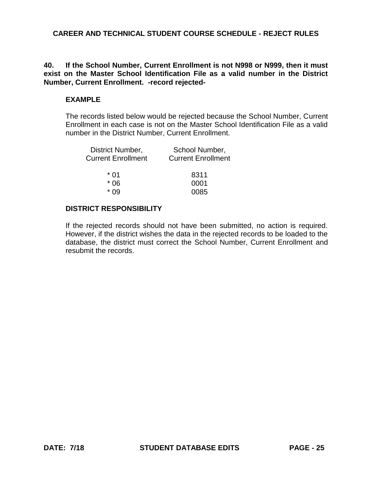## **40. If the School Number, Current Enrollment is not N998 or N999, then it must exist on the Master School Identification File as a valid number in the District Number, Current Enrollment. -record rejected-**

# **EXAMPLE**

The records listed below would be rejected because the School Number, Current Enrollment in each case is not on the Master School Identification File as a valid number in the District Number, Current Enrollment.

| District Number,          | School Number,            |
|---------------------------|---------------------------|
| <b>Current Enrollment</b> | <b>Current Enrollment</b> |
| * 01                      | 8311                      |
| * 06                      | 0001                      |
| * በዓ                      | 0085                      |
|                           |                           |

# **DISTRICT RESPONSIBILITY**

If the rejected records should not have been submitted, no action is required. However, if the district wishes the data in the rejected records to be loaded to the database, the district must correct the School Number, Current Enrollment and resubmit the records.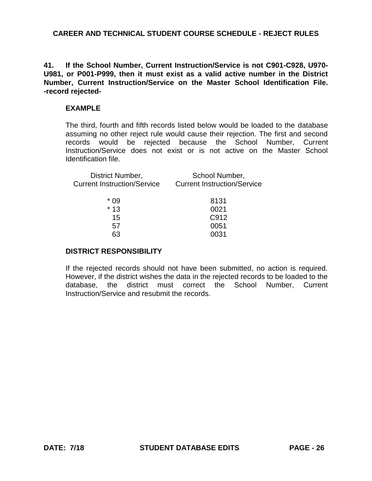**41. If the School Number, Current Instruction/Service is not C901-C928, U970- U981, or P001-P999, then it must exist as a valid active number in the District Number, Current Instruction/Service on the Master School Identification File. -record rejected-**

### **EXAMPLE**

The third, fourth and fifth records listed below would be loaded to the database assuming no other reject rule would cause their rejection. The first and second records would be rejected because the School Number, Current Instruction/Service does not exist or is not active on the Master School Identification file.

| District Number,<br><b>Current Instruction/Service</b> | School Number,<br><b>Current Instruction/Service</b> |
|--------------------------------------------------------|------------------------------------------------------|
| * 09                                                   | 8131                                                 |
| $*13$                                                  | 0021                                                 |
| 15                                                     | C912                                                 |
| 57                                                     | 0051                                                 |
|                                                        |                                                      |

### **DISTRICT RESPONSIBILITY**

If the rejected records should not have been submitted, no action is required. However, if the district wishes the data in the rejected records to be loaded to the database, the district must correct the School Number, Current Instruction/Service and resubmit the records.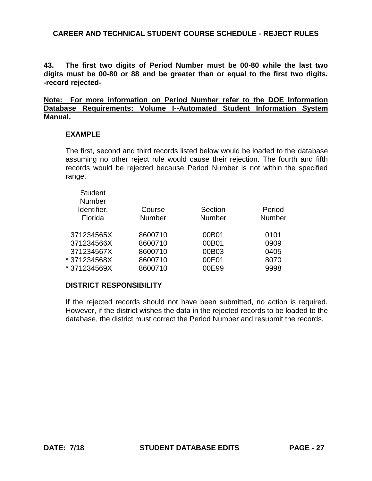**43. The first two digits of Period Number must be 00-80 while the last two digits must be 00-80 or 88 and be greater than or equal to the first two digits. -record rejected-**

**Note: For more information on Period Number refer to the DOE Information Database Requirements: Volume I--Automated Student Information System Manual.**

#### **EXAMPLE**

The first, second and third records listed below would be loaded to the database assuming no other reject rule would cause their rejection. The fourth and fifth records would be rejected because Period Number is not within the specified range.

| <b>Student</b><br><b>Number</b> |               |               |               |
|---------------------------------|---------------|---------------|---------------|
| Identifier,                     | Course        | Section       | Period        |
| Florida                         | <b>Number</b> | <b>Number</b> | <b>Number</b> |
| 371234565X                      | 8600710       | 00B01         | 0101          |
| 371234566X                      | 8600710       | 00B01         | 0909          |
| 371234567X                      | 8600710       | 00B03         | 0405          |
| * 371234568X                    | 8600710       | 00E01         | 8070          |
| * 371234569X                    | 8600710       | 00E99         | 9998          |
|                                 |               |               |               |

## **DISTRICT RESPONSIBILITY**

If the rejected records should not have been submitted, no action is required. However, if the district wishes the data in the rejected records to be loaded to the database, the district must correct the Period Number and resubmit the records.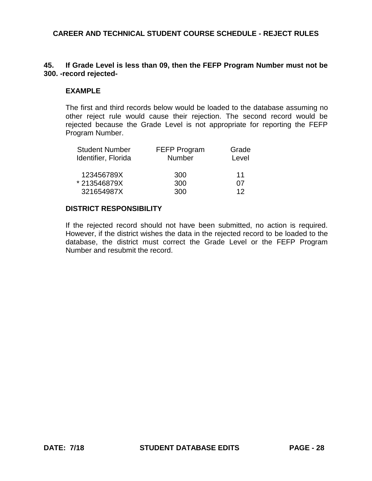# **45. If Grade Level is less than 09, then the FEFP Program Number must not be 300. -record rejected-**

### **EXAMPLE**

The first and third records below would be loaded to the database assuming no other reject rule would cause their rejection. The second record would be rejected because the Grade Level is not appropriate for reporting the FEFP Program Number.

| <b>Student Number</b> | <b>FEFP Program</b> | Grade |  |
|-----------------------|---------------------|-------|--|
| Identifier, Florida   | <b>Number</b>       | Level |  |
| 123456789X            | 300                 | 11    |  |
| *213546879X           | 300                 | 07    |  |
| 321654987X            | 300                 | 12    |  |

# **DISTRICT RESPONSIBILITY**

If the rejected record should not have been submitted, no action is required. However, if the district wishes the data in the rejected record to be loaded to the database, the district must correct the Grade Level or the FEFP Program Number and resubmit the record.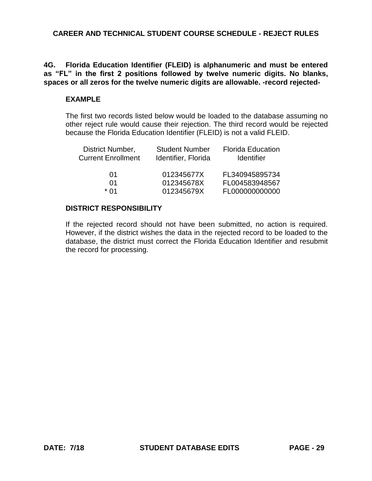**4G. Florida Education Identifier (FLEID) is alphanumeric and must be entered as "FL" in the first 2 positions followed by twelve numeric digits. No blanks, spaces or all zeros for the twelve numeric digits are allowable. -record rejected-**

### **EXAMPLE**

The first two records listed below would be loaded to the database assuming no other reject rule would cause their rejection. The third record would be rejected because the Florida Education Identifier (FLEID) is not a valid FLEID.

| <b>Student Number</b><br>Identifier, Florida | <b>Florida Education</b><br><b>Identifier</b> |
|----------------------------------------------|-----------------------------------------------|
| 012345677X                                   | FL340945895734                                |
| 012345678X                                   | FL004583948567                                |
| 012345679X                                   | FL000000000000                                |
|                                              |                                               |

# **DISTRICT RESPONSIBILITY**

If the rejected record should not have been submitted, no action is required. However, if the district wishes the data in the rejected record to be loaded to the database, the district must correct the Florida Education Identifier and resubmit the record for processing.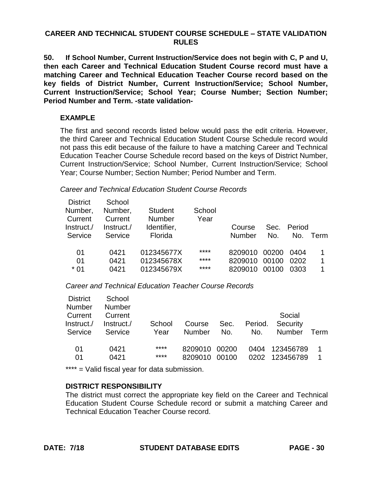# **CAREER AND TECHNICAL STUDENT COURSE SCHEDULE – STATE VALIDATION RULES**

**50. If School Number, Current Instruction/Service does not begin with C, P and U, then each Career and Technical Education Student Course record must have a matching Career and Technical Education Teacher Course record based on the key fields of District Number, Current Instruction/Service; School Number, Current Instruction/Service; School Year; Course Number; Section Number; Period Number and Term. -state validation-**

# **EXAMPLE**

The first and second records listed below would pass the edit criteria. However, the third Career and Technical Education Student Course Schedule record would not pass this edit because of the failure to have a matching Career and Technical Education Teacher Course Schedule record based on the keys of District Number, Current Instruction/Service; School Number, Current Instruction/Service; School Year; Course Number; Section Number; Period Number and Term.

### *Career and Technical Education Student Course Records*

| <b>District</b> | School     |                |        |         |       |        |      |
|-----------------|------------|----------------|--------|---------|-------|--------|------|
| Number,         | Number,    | <b>Student</b> | School |         |       |        |      |
| Current         | Current    | <b>Number</b>  | Year   |         |       |        |      |
| /.lnstruct      | Instruct./ | Identifier,    |        | Course  | Sec.  | Period |      |
| Service         | Service    | Florida        |        | Number  | No.   | No.    | Term |
|                 |            |                |        |         |       |        |      |
| 01              | 0421       | 012345677X     | ****   | 8209010 | 00200 | 0404   |      |
| 01              | 0421       | 012345678X     | ****   | 8209010 | 00100 | 0202   | 1    |
| $*01$           | 0421       | 012345679X     | ****   | 8209010 | 00100 | 0303   | 1    |
|                 |            |                |        |         |       |        |      |

*Career and Technical Education Teacher Course Records* 

| <b>District</b> | School     |        |         |       |         |           |      |
|-----------------|------------|--------|---------|-------|---------|-----------|------|
| <b>Number</b>   | Number     |        |         |       |         |           |      |
| Current         | Current    |        |         |       |         | Social    |      |
| Instruct./      | Instruct./ | School | Course  | Sec.  | Period. | Security  |      |
| Service         | Service    | Year   | Number  | No.   | No.     | Number    | Term |
|                 |            |        |         |       |         |           |      |
| 01              | 0421       | ****   | 8209010 | 00200 | 0404    | 123456789 | 1    |
| 01              | 0421       | ****   | 8209010 | 00100 | 0202    | 123456789 | 1    |
|                 |            |        |         |       |         |           |      |

\*\*\*\* = Valid fiscal year for data submission.

## **DISTRICT RESPONSIBILITY**

The district must correct the appropriate key field on the Career and Technical Education Student Course Schedule record or submit a matching Career and Technical Education Teacher Course record.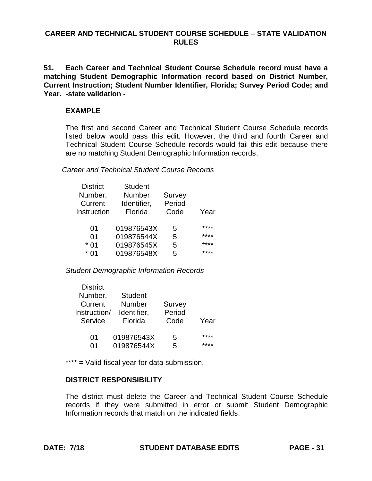## **CAREER AND TECHNICAL STUDENT COURSE SCHEDULE – STATE VALIDATION RULES**

**51. Each Career and Technical Student Course Schedule record must have a matching Student Demographic Information record based on District Number, Current Instruction; Student Number Identifier, Florida; Survey Period Code; and Year. -state validation -**

### **EXAMPLE**

The first and second Career and Technical Student Course Schedule records listed below would pass this edit. However, the third and fourth Career and Technical Student Course Schedule records would fail this edit because there are no matching Student Demographic Information records.

*Career and Technical Student Course Records* 

| <b>District</b> | <b>Student</b> |               |      |
|-----------------|----------------|---------------|------|
| Number,         | Number         | <b>Survey</b> |      |
| Current         | Identifier,    | Period        |      |
| Instruction     | Florida        | Code          | Year |
|                 |                |               |      |
| 01              | 019876543X     | 5             | **** |
| 01              | 019876544X     | 5             | **** |
| $*01$           | 019876545X     | 5             | **** |
| $*$ 01          | 019876548X     | 5             | **** |

*Student Demographic Information Records*

| Number,<br>Current<br>Instruction/ | <b>Student</b><br>Number | Survey |      |
|------------------------------------|--------------------------|--------|------|
|                                    |                          |        |      |
|                                    |                          |        |      |
|                                    | Identifier,              | Period |      |
| Service                            | Florida                  | Code   | Year |
|                                    |                          |        |      |
| 01                                 | 019876543X               | 5      | **** |
| በ1                                 | 019876544X               | 5      |      |
|                                    |                          |        |      |

\*\*\*\* = Valid fiscal year for data submission.

## **DISTRICT RESPONSIBILITY**

The district must delete the Career and Technical Student Course Schedule records if they were submitted in error or submit Student Demographic Information records that match on the indicated fields.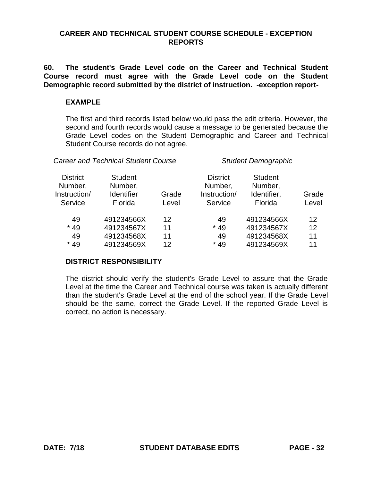## **CAREER AND TECHNICAL STUDENT COURSE SCHEDULE - EXCEPTION REPORTS**

**60. The student's Grade Level code on the Career and Technical Student Course record must agree with the Grade Level code on the Student Demographic record submitted by the district of instruction. -exception report-**

#### **EXAMPLE**

The first and third records listed below would pass the edit criteria. However, the second and fourth records would cause a message to be generated because the Grade Level codes on the Student Demographic and Career and Technical Student Course records do not agree.

| <b>Career and Technical Student Course</b>            |                                                           |                      | <b>Student Demographic</b>                            |                                                      |                                     |  |
|-------------------------------------------------------|-----------------------------------------------------------|----------------------|-------------------------------------------------------|------------------------------------------------------|-------------------------------------|--|
| <b>District</b><br>Number,<br>Instruction/<br>Service | <b>Student</b><br>Number,<br><b>Identifier</b><br>Florida | Grade<br>Level       | <b>District</b><br>Number,<br>Instruction/<br>Service | <b>Student</b><br>Number,<br>Identifier,<br>Florida  | Grade<br>Level                      |  |
| 49<br>$*49$<br>49<br>$*49$                            | 491234566X<br>491234567X<br>491234568X<br>491234569X      | 12<br>11<br>11<br>12 | 49<br>$*49$<br>49<br>$*49$                            | 491234566X<br>491234567X<br>491234568X<br>491234569X | $12 \overline{ }$<br>12<br>11<br>11 |  |

## **DISTRICT RESPONSIBILITY**

The district should verify the student's Grade Level to assure that the Grade Level at the time the Career and Technical course was taken is actually different than the student's Grade Level at the end of the school year. If the Grade Level should be the same, correct the Grade Level. If the reported Grade Level is correct, no action is necessary.